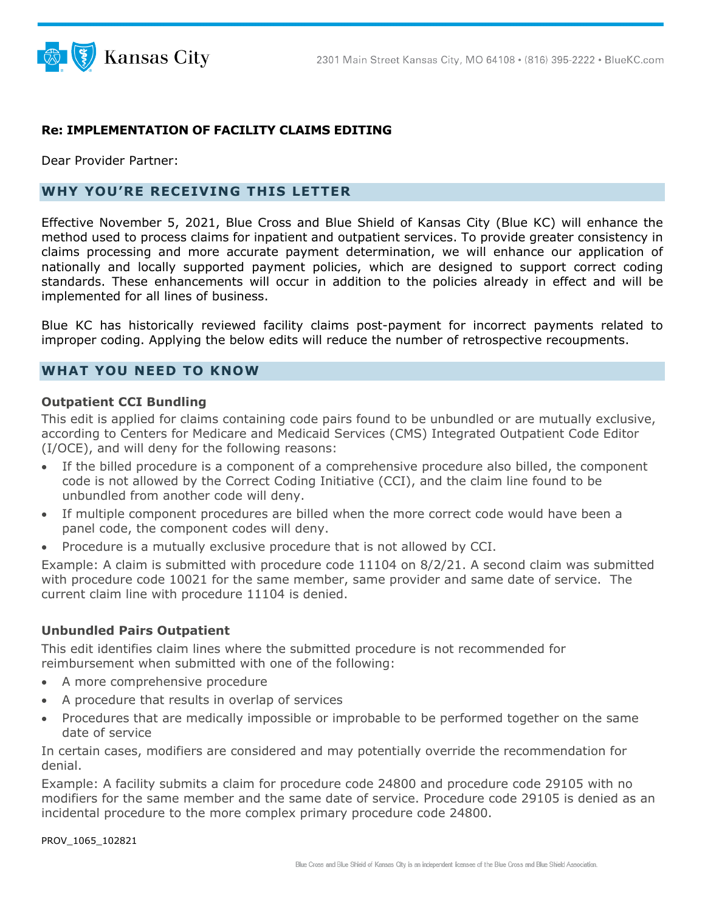

### **Re: IMPLEMENTATION OF FACILITY CLAIMS EDITING**

Dear Provider Partner:

# **WHY YOU'RE RECEIVING THIS LETTER**

Effective November 5, 2021, Blue Cross and Blue Shield of Kansas City (Blue KC) will enhance the method used to process claims for inpatient and outpatient services. To provide greater consistency in claims processing and more accurate payment determination, we will enhance our application of nationally and locally supported payment policies, which are designed to support correct coding standards. These enhancements will occur in addition to the policies already in effect and will be implemented for all lines of business.

Blue KC has historically reviewed facility claims post-payment for incorrect payments related to improper coding. Applying the below edits will reduce the number of retrospective recoupments.

### **WHAT YOU NEED TO KNOW**

#### **Outpatient CCI Bundling**

This edit is applied for claims containing code pairs found to be unbundled or are mutually exclusive, according to Centers for Medicare and Medicaid Services (CMS) Integrated Outpatient Code Editor (I/OCE), and will deny for the following reasons:

- If the billed procedure is a component of a comprehensive procedure also billed, the component code is not allowed by the Correct Coding Initiative (CCI), and the claim line found to be unbundled from another code will deny.
- If multiple component procedures are billed when the more correct code would have been a panel code, the component codes will deny.
- Procedure is a mutually exclusive procedure that is not allowed by CCI.

Example: A claim is submitted with procedure code 11104 on 8/2/21. A second claim was submitted with procedure code 10021 for the same member, same provider and same date of service. The current claim line with procedure 11104 is denied.

### **Unbundled Pairs Outpatient**

This edit identifies claim lines where the submitted procedure is not recommended for reimbursement when submitted with one of the following:

- A more comprehensive procedure
- A procedure that results in overlap of services
- Procedures that are medically impossible or improbable to be performed together on the same date of service

In certain cases, modifiers are considered and may potentially override the recommendation for denial.

Example: A facility submits a claim for procedure code 24800 and procedure code 29105 with no modifiers for the same member and the same date of service. Procedure code 29105 is denied as an incidental procedure to the more complex primary procedure code 24800.

PROV\_1065\_102821